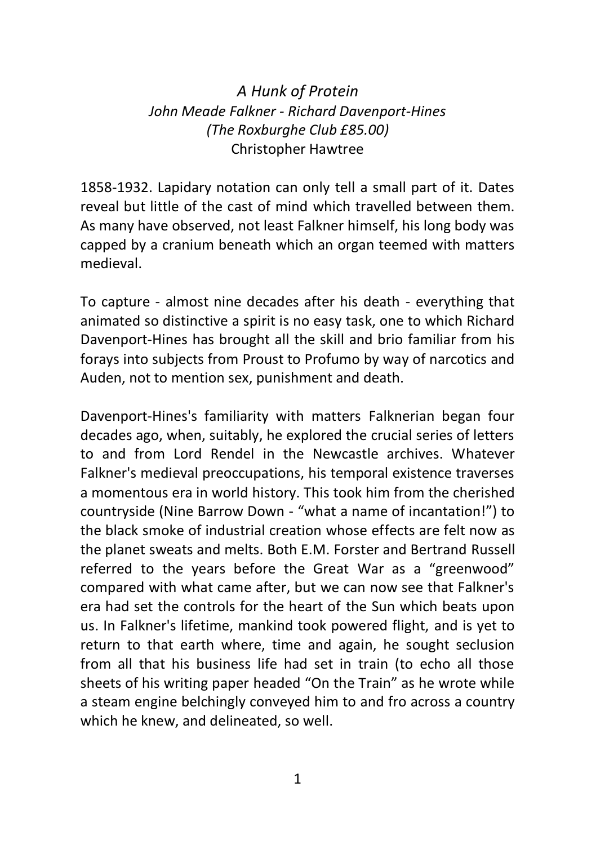## *A Hunk of Protein John Meade Falkner - Richard Davenport-Hines (The Roxburghe Club £85.00)* Christopher Hawtree

1858-1932. Lapidary notation can only tell a small part of it. Dates reveal but little of the cast of mind which travelled between them. As many have observed, not least Falkner himself, his long body was capped by a cranium beneath which an organ teemed with matters medieval.

To capture - almost nine decades after his death - everything that animated so distinctive a spirit is no easy task, one to which Richard Davenport-Hines has brought all the skill and brio familiar from his forays into subjects from Proust to Profumo by way of narcotics and Auden, not to mention sex, punishment and death.

Davenport-Hines's familiarity with matters Falknerian began four decades ago, when, suitably, he explored the crucial series of letters to and from Lord Rendel in the Newcastle archives. Whatever Falkner's medieval preoccupations, his temporal existence traverses a momentous era in world history. This took him from the cherished countryside (Nine Barrow Down - "what a name of incantation!") to the black smoke of industrial creation whose effects are felt now as the planet sweats and melts. Both E.M. Forster and Bertrand Russell referred to the years before the Great War as a "greenwood" compared with what came after, but we can now see that Falkner's era had set the controls for the heart of the Sun which beats upon us. In Falkner's lifetime, mankind took powered flight, and is yet to return to that earth where, time and again, he sought seclusion from all that his business life had set in train (to echo all those sheets of his writing paper headed "On the Train" as he wrote while a steam engine belchingly conveyed him to and fro across a country which he knew, and delineated, so well.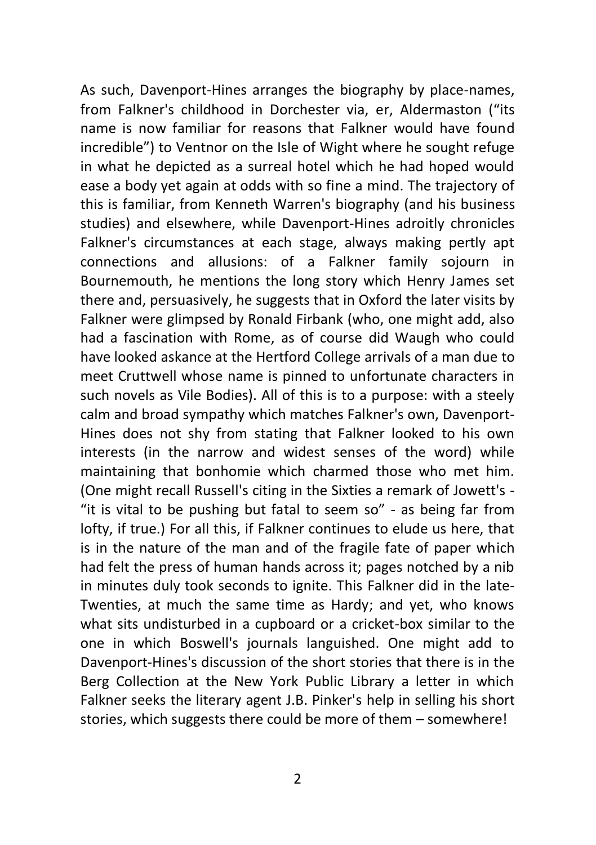As such, Davenport-Hines arranges the biography by place-names, from Falkner's childhood in Dorchester via, er, Aldermaston ("its name is now familiar for reasons that Falkner would have found incredible") to Ventnor on the Isle of Wight where he sought refuge in what he depicted as a surreal hotel which he had hoped would ease a body yet again at odds with so fine a mind. The trajectory of this is familiar, from Kenneth Warren's biography (and his business studies) and elsewhere, while Davenport-Hines adroitly chronicles Falkner's circumstances at each stage, always making pertly apt connections and allusions: of a Falkner family sojourn in Bournemouth, he mentions the long story which Henry James set there and, persuasively, he suggests that in Oxford the later visits by Falkner were glimpsed by Ronald Firbank (who, one might add, also had a fascination with Rome, as of course did Waugh who could have looked askance at the Hertford College arrivals of a man due to meet Cruttwell whose name is pinned to unfortunate characters in such novels as Vile Bodies). All of this is to a purpose: with a steely calm and broad sympathy which matches Falkner's own, Davenport-Hines does not shy from stating that Falkner looked to his own interests (in the narrow and widest senses of the word) while maintaining that bonhomie which charmed those who met him. (One might recall Russell's citing in the Sixties a remark of Jowett's - "it is vital to be pushing but fatal to seem so" - as being far from lofty, if true.) For all this, if Falkner continues to elude us here, that is in the nature of the man and of the fragile fate of paper which had felt the press of human hands across it; pages notched by a nib in minutes duly took seconds to ignite. This Falkner did in the late-Twenties, at much the same time as Hardy; and yet, who knows what sits undisturbed in a cupboard or a cricket-box similar to the one in which Boswell's journals languished. One might add to Davenport-Hines's discussion of the short stories that there is in the Berg Collection at the New York Public Library a letter in which Falkner seeks the literary agent J.B. Pinker's help in selling his short stories, which suggests there could be more of them – somewhere!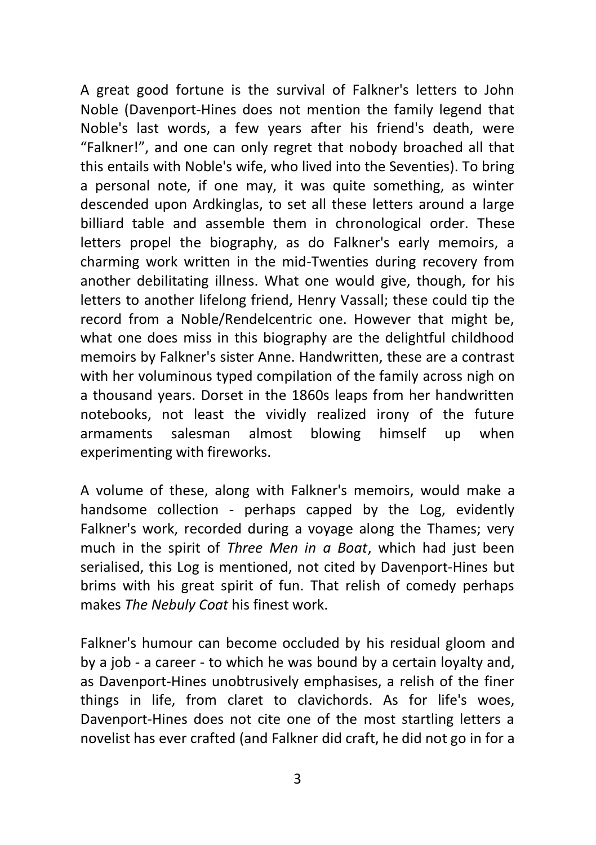A great good fortune is the survival of Falkner's letters to John Noble (Davenport-Hines does not mention the family legend that Noble's last words, a few years after his friend's death, were "Falkner!", and one can only regret that nobody broached all that this entails with Noble's wife, who lived into the Seventies). To bring a personal note, if one may, it was quite something, as winter descended upon Ardkinglas, to set all these letters around a large billiard table and assemble them in chronological order. These letters propel the biography, as do Falkner's early memoirs, a charming work written in the mid-Twenties during recovery from another debilitating illness. What one would give, though, for his letters to another lifelong friend, Henry Vassall; these could tip the record from a Noble/Rendelcentric one. However that might be, what one does miss in this biography are the delightful childhood memoirs by Falkner's sister Anne. Handwritten, these are a contrast with her voluminous typed compilation of the family across nigh on a thousand years. Dorset in the 1860s leaps from her handwritten notebooks, not least the vividly realized irony of the future armaments salesman almost blowing himself up when experimenting with fireworks.

A volume of these, along with Falkner's memoirs, would make a handsome collection - perhaps capped by the Log, evidently Falkner's work, recorded during a voyage along the Thames; very much in the spirit of *Three Men in a Boat*, which had just been serialised, this Log is mentioned, not cited by Davenport-Hines but brims with his great spirit of fun. That relish of comedy perhaps makes *The Nebuly Coat* his finest work.

Falkner's humour can become occluded by his residual gloom and by a job - a career - to which he was bound by a certain loyalty and, as Davenport-Hines unobtrusively emphasises, a relish of the finer things in life, from claret to clavichords. As for life's woes, Davenport-Hines does not cite one of the most startling letters a novelist has ever crafted (and Falkner did craft, he did not go in for a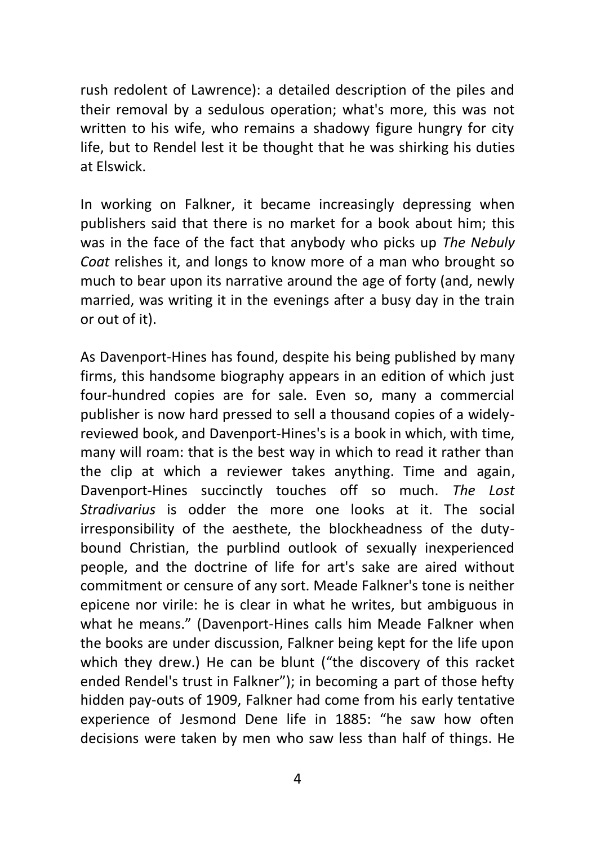rush redolent of Lawrence): a detailed description of the piles and their removal by a sedulous operation; what's more, this was not written to his wife, who remains a shadowy figure hungry for city life, but to Rendel lest it be thought that he was shirking his duties at Elswick.

In working on Falkner, it became increasingly depressing when publishers said that there is no market for a book about him; this was in the face of the fact that anybody who picks up *The Nebuly Coat* relishes it, and longs to know more of a man who brought so much to bear upon its narrative around the age of forty (and, newly married, was writing it in the evenings after a busy day in the train or out of it).

As Davenport-Hines has found, despite his being published by many firms, this handsome biography appears in an edition of which just four-hundred copies are for sale. Even so, many a commercial publisher is now hard pressed to sell a thousand copies of a widelyreviewed book, and Davenport-Hines's is a book in which, with time, many will roam: that is the best way in which to read it rather than the clip at which a reviewer takes anything. Time and again, Davenport-Hines succinctly touches off so much. *The Lost Stradivarius* is odder the more one looks at it. The social irresponsibility of the aesthete, the blockheadness of the dutybound Christian, the purblind outlook of sexually inexperienced people, and the doctrine of life for art's sake are aired without commitment or censure of any sort. Meade Falkner's tone is neither epicene nor virile: he is clear in what he writes, but ambiguous in what he means." (Davenport-Hines calls him Meade Falkner when the books are under discussion, Falkner being kept for the life upon which they drew.) He can be blunt ("the discovery of this racket ended Rendel's trust in Falkner"); in becoming a part of those hefty hidden pay-outs of 1909, Falkner had come from his early tentative experience of Jesmond Dene life in 1885: "he saw how often decisions were taken by men who saw less than half of things. He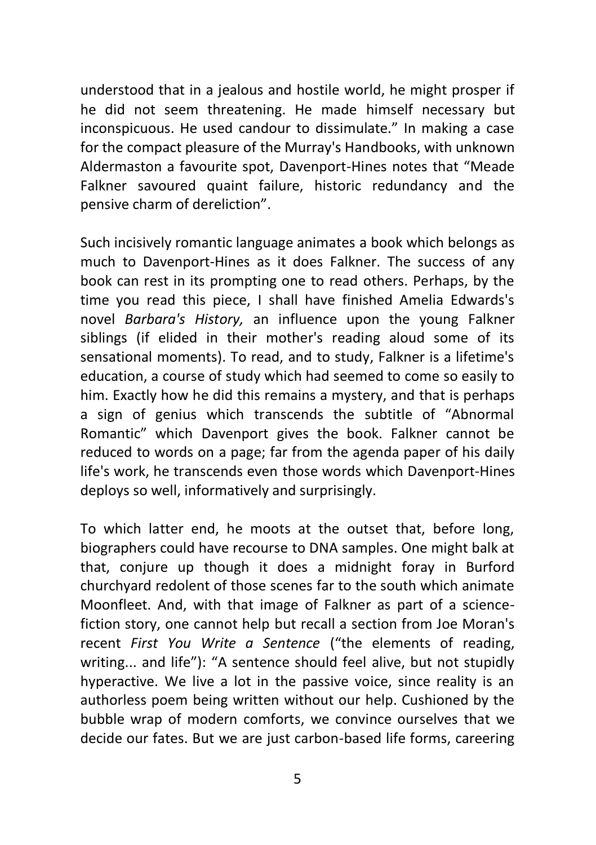understood that in a jealous and hostile world, he might prosper if he did not seem threatening. He made himself necessary but inconspicuous. He used candour to dissimulate." In making a case for the compact pleasure of the Murray's Handbooks, with unknown Aldermaston a favourite spot, Davenport-Hines notes that "Meade Falkner savoured quaint failure, historic redundancy and the pensive charm of dereliction".

Such incisively romantic language animates a book which belongs as much to Davenport-Hines as it does Falkner. The success of any book can rest in its prompting one to read others. Perhaps, by the time you read this piece, I shall have finished Amelia Edwards's novel *Barbara's History,* an influence upon the young Falkner siblings (if elided in their mother's reading aloud some of its sensational moments). To read, and to study, Falkner is a lifetime's education, a course of study which had seemed to come so easily to him. Exactly how he did this remains a mystery, and that is perhaps a sign of genius which transcends the subtitle of "Abnormal Romantic" which Davenport gives the book. Falkner cannot be reduced to words on a page; far from the agenda paper of his daily life's work, he transcends even those words which Davenport-Hines deploys so well, informatively and surprisingly.

To which latter end, he moots at the outset that, before long, biographers could have recourse to DNA samples. One might balk at that, conjure up though it does a midnight foray in Burford churchyard redolent of those scenes far to the south which animate Moonfleet. And, with that image of Falkner as part of a sciencefiction story, one cannot help but recall a section from Joe Moran's recent *First You Write a Sentence* ("the elements of reading, writing... and life"): "A sentence should feel alive, but not stupidly hyperactive. We live a lot in the passive voice, since reality is an authorless poem being written without our help. Cushioned by the bubble wrap of modern comforts, we convince ourselves that we decide our fates. But we are just carbon-based life forms, careering